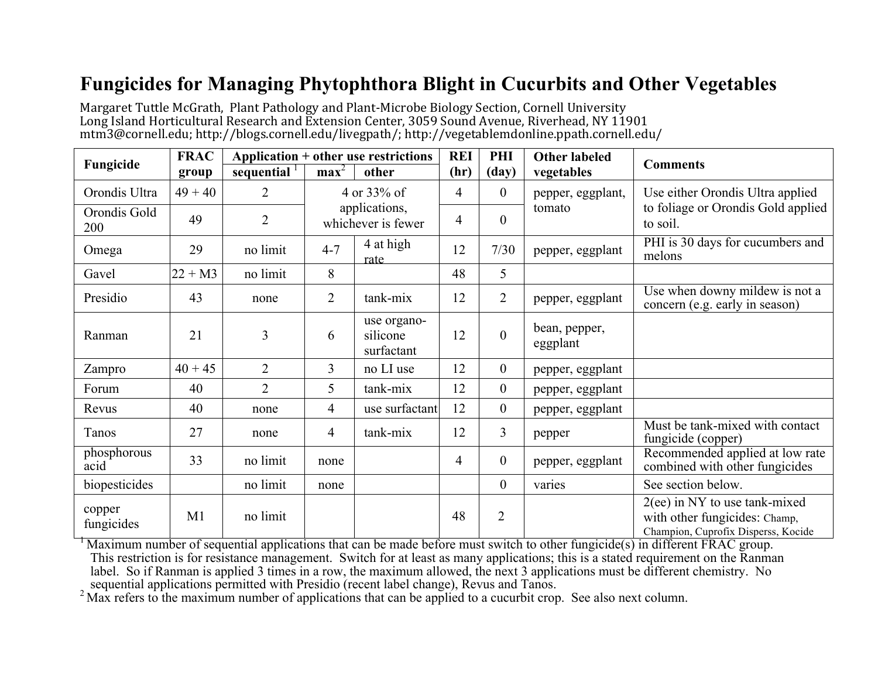## **Fungicides for Managing Phytophthora Blight in Cucurbits and Other Vegetables**

Margaret Tuttle McGrath, Plant Pathology and Plant-Microbe Biology Section, Cornell University Long Island Horticultural Research and Extension Center, 3059 Sound Avenue, Riverhead, NY 11901 mtm3@cornell.edu; http://blogs.cornell.edu/livegpath/; http://vegetablemdonline.ppath.cornell.edu/

| Fungicide            | <b>FRAC</b> | Application + other use restrictions |                                     |                                       | <b>REI</b>     | PHI              | <b>Other labeled</b>        |                                                                                                         |
|----------------------|-------------|--------------------------------------|-------------------------------------|---------------------------------------|----------------|------------------|-----------------------------|---------------------------------------------------------------------------------------------------------|
|                      | group       | sequential                           | max <sup>2</sup>                    | other                                 | (hr)           | $\frac{day}{ }$  | vegetables                  | <b>Comments</b>                                                                                         |
| Orondis Ultra        | $49 + 40$   | $\overline{2}$                       | 4 or 33% of                         |                                       | $\overline{4}$ | $\boldsymbol{0}$ | pepper, eggplant,<br>tomato | Use either Orondis Ultra applied                                                                        |
| Orondis Gold<br>200  | 49          | $\overline{2}$                       | applications,<br>whichever is fewer |                                       | $\overline{4}$ | $\overline{0}$   |                             | to foliage or Orondis Gold applied<br>to soil.                                                          |
| Omega                | 29          | no limit                             | $4 - 7$                             | 4 at high<br>rate                     | 12             | 7/30             | pepper, eggplant            | PHI is 30 days for cucumbers and<br>melons                                                              |
| Gavel                | $22 + M3$   | no limit                             | 8                                   |                                       | 48             | 5                |                             |                                                                                                         |
| Presidio             | 43          | none                                 | $\overline{2}$                      | tank-mix                              | 12             | $\overline{2}$   | pepper, eggplant            | Use when downy mildew is not a<br>concern (e.g. early in season)                                        |
| Ranman               | 21          | 3                                    | 6                                   | use organo-<br>silicone<br>surfactant | 12             | $\overline{0}$   | bean, pepper,<br>eggplant   |                                                                                                         |
| Zampro               | $40 + 45$   | $\overline{2}$                       | $\overline{3}$                      | no LI use                             | 12             | $\boldsymbol{0}$ | pepper, eggplant            |                                                                                                         |
| Forum                | 40          | $\overline{2}$                       | 5                                   | tank-mix                              | 12             | $\boldsymbol{0}$ | pepper, eggplant            |                                                                                                         |
| Revus                | 40          | none                                 | $\overline{4}$                      | use surfactant                        | 12             | $\overline{0}$   | pepper, eggplant            |                                                                                                         |
| Tanos                | 27          | none                                 | $\overline{4}$                      | tank-mix                              | 12             | $\overline{3}$   | pepper                      | Must be tank-mixed with contact<br>fungicide (copper)                                                   |
| phosphorous<br>acid  | 33          | no limit                             | none                                |                                       | $\overline{4}$ | $\overline{0}$   | pepper, eggplant            | Recommended applied at low rate<br>combined with other fungicides                                       |
| biopesticides        |             | no limit                             | none                                |                                       |                | $\overline{0}$   | varies                      | See section below.                                                                                      |
| copper<br>fungicides | M1          | no limit                             |                                     |                                       | 48             | $\overline{2}$   |                             | $2(ee)$ in NY to use tank-mixed<br>with other fungicides: Champ,<br>Champion, Cuprofix Disperss, Kocide |

 $\mu$ <sup>1</sup> Maximum number of sequential applications that can be made before must switch to other fungicide(s) in different FRAC group. This restriction is for resistance management. Switch for at least as many applications; this is a stated requirement on the Ranman label. So if Ranman is applied 3 times in a row, the maximum allowed, the next 3 applications must be different chemistry. No sequential applications permitted with Presidio (recent label change), Revus and Tanos.

 $2$  Max refers to the maximum number of applications that can be applied to a cucurbit crop. See also next column.